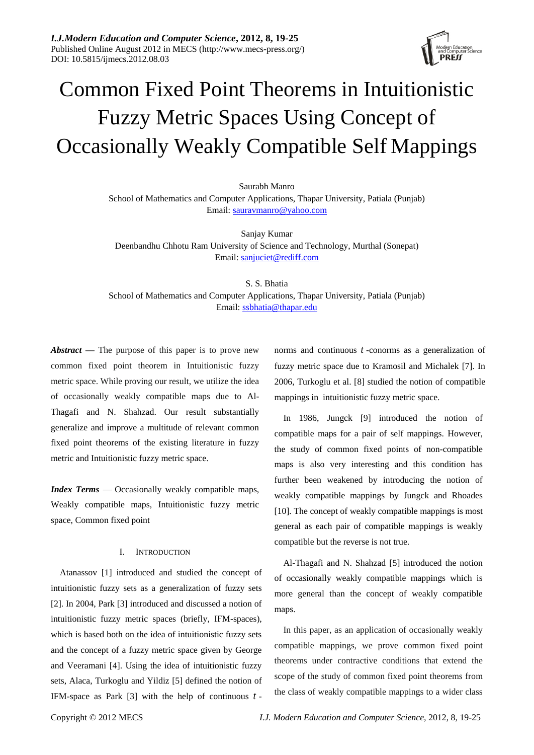

# Common Fixed Point Theorems in Intuitionistic Fuzzy Metric Spaces Using Concept of Occasionally Weakly Compatible Self Mappings

Saurabh Manro

School of Mathematics and Computer Applications, Thapar University, Patiala (Punjab) Email: [sauravmanro@yahoo.com](mailto:sauravmanro@yahoo.com)

Sanjay Kumar Deenbandhu Chhotu Ram University of Science and Technology, Murthal (Sonepat) Email: [sanjuciet@rediff.com](mailto:sanjuciet@rediff.com)

S. S. Bhatia School of Mathematics and Computer Applications, Thapar University, Patiala (Punjab) Email[: ssbhatia@thapar.edu](mailto:ssbhatia@thapar.edu)

*Abstract* **—** The purpose of this paper is to prove new common fixed point theorem in Intuitionistic fuzzy metric space. While proving our result, we utilize the idea of occasionally weakly compatible maps due to Al-Thagafi and N. Shahzad. Our result substantially generalize and improve a multitude of relevant common fixed point theorems of the existing literature in fuzzy metric and Intuitionistic fuzzy metric space.

*Index Terms* — Occasionally weakly compatible maps, Weakly compatible maps, Intuitionistic fuzzy metric space, Common fixed point

## I. INTRODUCTION

Atanassov [1] introduced and studied the concept of intuitionistic fuzzy sets as a generalization of fuzzy sets [2]. In 2004, Park [3] introduced and discussed a notion of intuitionistic fuzzy metric spaces (briefly, IFM-spaces), which is based both on the idea of intuitionistic fuzzy sets and the concept of a fuzzy metric space given by George and Veeramani [4]. Using the idea of intuitionistic fuzzy sets, Alaca, Turkoglu and Yildiz [5] defined the notion of IFM-space as Park [3] with the help of continuous *t* -

norms and continuous *t* -conorms as a generalization of fuzzy metric space due to Kramosil and Michalek [7]. In 2006, Turkoglu et al. [8] studied the notion of compatible mappings in intuitionistic fuzzy metric space.

In 1986, Jungck [9] introduced the notion of compatible maps for a pair of self mappings. However, the study of common fixed points of non-compatible maps is also very interesting and this condition has further been weakened by introducing the notion of weakly compatible mappings by Jungck and Rhoades [10]. The concept of weakly compatible mappings is most general as each pair of compatible mappings is weakly compatible but the reverse is not true.

Al-Thagafi and N. Shahzad [5] introduced the notion of occasionally weakly compatible mappings which is more general than the concept of weakly compatible maps.

In this paper, as an application of occasionally weakly compatible mappings, we prove common fixed point theorems under contractive conditions that extend the scope of the study of common fixed point theorems from the class of weakly compatible mappings to a wider class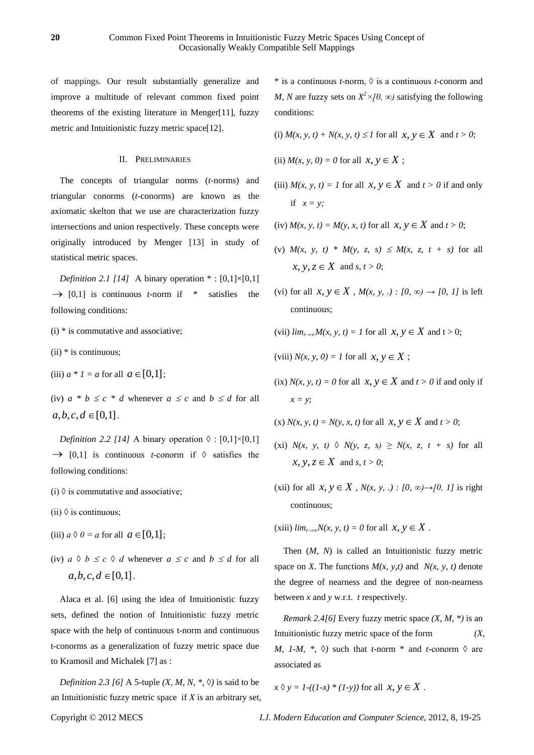of mappings. Our result substantially generalize and improve a multitude of relevant common fixed point theorems of the existing literature in Menger[11], fuzzy metric and Intuitionistic fuzzy metric space[12].

## II. PRELIMINARIES

The concepts of triangular norms (*t*-norms) and triangular conorms (*t*-conorms) are known as the axiomatic skelton that we use are characterization fuzzy intersections and union respectively. These concepts were originally introduced by Menger [13] in study of statistical metric spaces.

*Definition 2.1 [14]* A binary operation  $* : [0,1] \times [0,1]$  $\rightarrow$  [0,1] is continuous *t*-norm if \* satisfies the following conditions:

- $(i)$  \* is commutative and associative;
- $(ii)$  \* is continuous;
- (iii)  $a * 1 = a$  for all  $a \in [0,1]$ ;

(iv)  $a * b \leq c * d$  whenever  $a \leq c$  and  $b \leq d$  for all  $a, b, c, d \in [0,1]$ .

*Definition 2.2 [14]* A binary operation  $\Diamond$  : [0,1]×[0,1]  $\rightarrow$  [0,1] is continuous *t*-conorm if  $\Diamond$  satisfies the following conditions:

- (i)  $\Diamond$  is commutative and associative;
- (ii)  $\Diamond$  is continuous;
- (iii)  $a \land 0 = a$  for all  $a \in [0,1]$ ;
- (iv)  $a \Diamond b \leq c \Diamond d$  whenever  $a \leq c$  and  $b \leq d$  for all  $a, b, c, d \in [0,1]$ .

Alaca et al. [6] using the idea of Intuitionistic fuzzy sets, defined the notion of Intuitionistic fuzzy metric space with the help of continuous t-norm and continuous t-conorms as a generalization of fuzzy metric space due to Kramosil and Michalek [7] as :

*Definition 2.3 [6]* A 5-tuple *(X, M, N, <sup>\*</sup>, ◊)* is said to be an Intuitionistic fuzzy metric space if *X* is an arbitrary set, \* is a continuous *t*-norm, ◊ is a continuous *t*-conorm and *M, N* are fuzzy sets on  $X^2 \times [0, \infty)$  satisfying the following conditions:

(i)  $M(x, y, t) + N(x, y, t) \leq 1$  for all  $x, y \in X$  and  $t > 0$ ;

- (ii)  $M(x, y, 0) = 0$  for all  $x, y \in X$ ;
- (iii)  $M(x, y, t) = 1$  for all  $x, y \in X$  and  $t > 0$  if and only if  $x = y$ ;
- (iv)  $M(x, y, t) = M(y, x, t)$  for all  $x, y \in X$  and  $t > 0$ ;
- (v)  $M(x, y, t) * M(y, z, s) \leq M(x, z, t + s)$  for all  $x, y, z \in X$  and  $s, t > 0$ ;
- (vi) for all  $x, y \in X$ ,  $M(x, y, ...)$ :  $[0, \infty) \rightarrow [0, 1]$  is left continuous;
- (vii)  $\lim_{t \to \infty} M(x, y, t) = 1$  for all  $x, y \in X$  and  $t > 0$ ;
- (viii)  $N(x, y, 0) = 1$  for all  $x, y \in X$ ;
- $(ix)$  *N*(*x*, *y*, *t*) = 0 for all *x*, *y*  $\in$  *X* and *t* > 0 if and only if *x = y*;

(x) 
$$
N(x, y, t) = N(y, x, t)
$$
 for all  $x, y \in X$  and  $t > 0$ ;

- (xi)  $N(x, y, t) \triangleleft N(y, z, s) \geq N(x, z, t + s)$  for all  $x, y, z \in X$  and  $s, t > 0$ ;
- (xii) for all  $x, y \in X$ ,  $N(x, y, .) : [0, \infty) \rightarrow [0, 1]$  is right continuous;

 $(xiiii) \lim_{t \to \infty} N(x, y, t) = 0$  for all  $x, y \in X$ .

Then (*M, N*) is called an Intuitionistic fuzzy metric space on *X*. The functions  $M(x, y, t)$  and  $N(x, y, t)$  denote the degree of nearness and the degree of non-nearness between *x* and *y* w.r.t. *t* respectively.

*Remark 2.4[6]* Every fuzzy metric space *(X, M, \*)* is an Intuitionistic fuzzy metric space of the form *(X, M, 1-M, \*,*  $\Diamond$ *)* such that *t*-norm \* and *t*-conorm  $\Diamond$  are associated as

 $x \Diamond y = I - ((1-x) * (1-y))$  for all  $x, y \in X$ .

Copyright © 2012 MECS *I.J. Modern Education and Computer Science,* 2012, 8, 19-25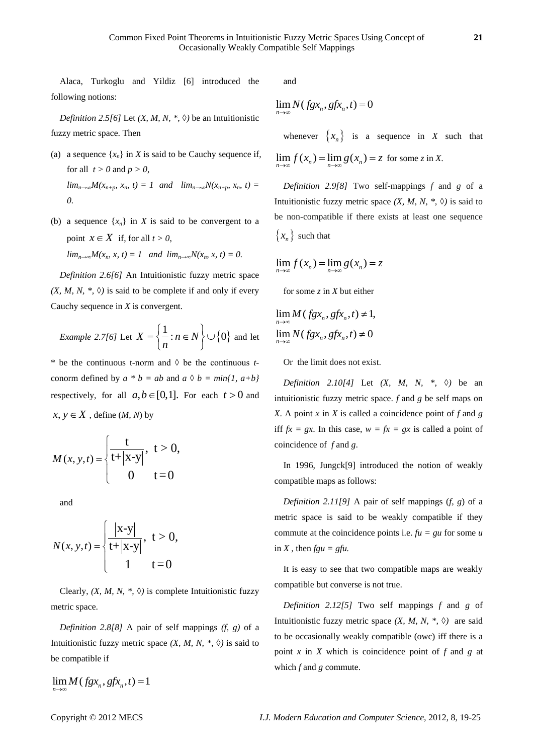Alaca, Turkoglu and Yildiz [6] introduced the following notions:

*Definition 2.5[6]* Let *(X, M, N, <sup>\*</sup>, ◊)* be an Intuitionistic fuzzy metric space. Then

- (a) a sequence  $\{x_n\}$  in *X* is said to be Cauchy sequence if, for all  $t > 0$  and  $p > 0$ ,  $\lim_{n\to\infty} M(x_{n+p}, x_n, t) = 1$  and  $\lim_{n\to\infty} N(x_{n+p}, x_n, t) =$ *0.*
- (b) a sequence  $\{x_n\}$  in *X* is said to be convergent to a point  $x \in X$  if, for all  $t > 0$ ,  $\lim_{n\to\infty} M(x_n, x, t) = 1$  and  $\lim_{n\to\infty} N(x_n, x, t) = 0$ .

*Definition 2.6[6]* An Intuitionistic fuzzy metric space  $(X, M, N, * , \Diamond)$  is said to be complete if and only if every Cauchy sequence in *X* is convergent.

*Example 2.7[6]* Let 
$$
X = \left\{ \frac{1}{n} : n \in N \right\} \cup \{0\}
$$
 and let

\* be the continuous t-norm and  $\Diamond$  be the continuous *t*conorm defined by  $a * b = ab$  and  $a \Diamond b = min\{1, a+b\}$ respectively, for all  $a, b \in [0,1]$ . For each  $t > 0$  and  $x, y \in X$ , define  $(M, N)$  by

$$
M(x, y, t) = \begin{cases} \frac{t}{t + |x - y|}, & t > 0, \\ 0 & t = 0 \end{cases}
$$

and

$$
N(x, y, t) = \begin{cases} \frac{|x-y|}{t+|x-y|}, & t > 0, \\ 1 & t = 0 \end{cases}
$$

Clearly,  $(X, M, N, *, \Diamond)$  is complete Intuitionistic fuzzy metric space.

*Definition 2.8[8]* A pair of self mappings *(f, g)* of a Intuitionistic fuzzy metric space  $(X, M, N, *, \Diamond)$  is said to be compatible if

 $\lim_{n\to\infty} M(fgx_n, gfx_n, t) = 1$ 

and

$$
\lim_{n\to\infty} N(fgx_n, gfx_n, t) = 0
$$

whenever  $\{x_n\}$  is a sequence in *X* such that  $\lim_{n \to \infty} f(x_n) = \lim_{n \to \infty} g(x_n) = z$  for some *z* in *X*.

*Definition 2.9[8]* Two self-mappings *f* and *g* of a Intuitionistic fuzzy metric space  $(X, M, N, * , \Diamond)$  is said to be non-compatible if there exists at least one sequence  $\{x_n\}$  such that

$$
\lim_{n\to\infty} f(x_n) = \lim_{n\to\infty} g(x_n) = z
$$

for some *z* in *X* but either

$$
\lim_{n \to \infty} M(fgx_n, gfx_n, t) \neq 1,
$$
  

$$
\lim_{n \to \infty} N(fgx_n, gfx_n, t) \neq 0
$$

Or the limit does not exist.

*Definition 2.10[4]* Let *(X, M, N, <sup>\*</sup>, ◇)* be an intuitionistic fuzzy metric space. *f* and *g* be self maps on *X*. A point *x* in *X* is called a coincidence point of *f* and *g* iff  $fx = gx$ . In this case,  $w = fx = gx$  is called a point of coincidence of *f* and *g*.

In 1996, Jungck[9] introduced the notion of weakly compatible maps as follows:

*Definition 2.11[9]* A pair of self mappings (*f, g*) of a metric space is said to be weakly compatible if they commute at the coincidence points i.e.  $fu = gu$  for some *u* in *X*, then  $fgu = gfu$ .

It is easy to see that two compatible maps are weakly compatible but converse is not true.

*Definition 2.12[5]* Two self mappings *f* and *g* of Intuitionistic fuzzy metric space  $(X, M, N, *, \Diamond)$  are said to be occasionally weakly compatible (owc) iff there is a point *x* in *X* which is coincidence point of *f* and *g* at which *f* and *g* commute.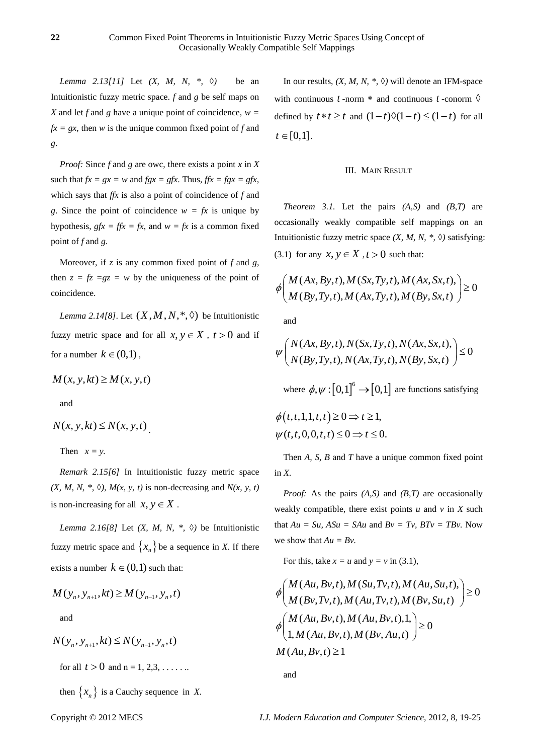*Lemma 2.13[11]* Let *(X, M, N, \*, ◊)* be an Intuitionistic fuzzy metric space. *f* and *g* be self maps on *X* and let *f* and *g* have a unique point of coincidence,  $w =$  $fx = gx$ , then *w* is the unique common fixed point of *f* and *g*.

*Proof:* Since *f* and *g* are owc, there exists a point *x* in *X* such that  $fx = gx = w$  and  $fgx = gfx$ . Thus,  $ffx = fgx = gfx$ , which says that *ffx* is also a point of coincidence of *f* and *g*. Since the point of coincidence  $w = fx$  is unique by hypothesis,  $gfx = ffx = fx$ , and  $w = fx$  is a common fixed point of *f* and *g*.

Moreover, if *z* is any common fixed point of *f* and *g*, then  $z = fz = gz = w$  by the uniqueness of the point of coincidence.

*Lemma 2.14*[8]. Let  $(X, M, N, *, \lozenge)$  be Intuitionistic fuzzy metric space and for all  $x, y \in X$ ,  $t > 0$  and if for a number  $k \in (0,1)$ ,

$$
M(x, y, kt) \ge M(x, y, t)
$$

and

$$
N(x, y, kt) \le N(x, y, t)
$$

Then  $x = y$ .

*Remark 2.15[6]* In Intuitionistic fuzzy metric space  $(X, M, N, *, \diamond), M(x, y, t)$  is non-decreasing and  $N(x, y, t)$ is non-increasing for all  $x, y \in X$ .

*Lemma 2.16[8]* Let *(X, M, N, \*, ◊)* be Intuitionistic fuzzy metric space and  $\{x_n\}$  be a sequence in *X*. If there exists a number  $k \in (0,1)$  such that:

$$
M(y_n, y_{n+1}, kt) \ge M(y_{n-1}, y_n, t)
$$
  
and

$$
N(y_n, y_{n+1}, kt) \le N(y_{n-1}, y_n, t)
$$

for all  $t > 0$  and  $n = 1, 2, 3, \dots$ ...

then  $\{x_n\}$  is a Cauchy sequence in *X*.

In our results,  $(X, M, N, *, \Diamond)$  will denote an IFM-space with continuous  $t$ -norm  $*$  and continuous  $t$ -conorm  $\Diamond$ defined by  $t * t \geq t$  and  $(1-t)\Diamond(1-t) \leq (1-t)$  for all  $t \in [0,1]$ .

### III. MAIN RESULT

*Theorem 3.1.* Let the pairs *(A,S)* and *(B,T)* are occasionally weakly compatible self mappings on an Intuitionistic fuzzy metric space *(X, M, N, \*, ◊)* satisfying: (3.1) for any  $x, y \in X$ ,  $t > 0$  such that:

$$
\phi \bigg( \begin{array}{c} M(Ax, By, t), M(Sx, Ty, t), M(Ax, Sx, t), \\ M(By, Ty, t), M(Ax, Ty, t), M(By, Sx, t) \end{array} \bigg) \ge 0
$$

and

and  
\n
$$
\psi\left(N(Ax, By, t), N(Sx, Ty, t), N(Ax, Sx, t), \middle| \leq 0 \right)
$$
\n
$$
\psi\left(N(By, Ty, t), N(Ax, Ty, t), N(By, Sx, t)\right) \leq 0
$$

where  $\phi, \psi : [0,1]^{6} \rightarrow [0,1]$  are functions satisfying

$$
\phi(t, t, 1, 1, t, t) \ge 0 \Rightarrow t \ge 1,
$$
  

$$
\psi(t, t, 0, 0, t, t) \le 0 \Rightarrow t \le 0.
$$

Then *A, S, B* and *T* have a unique common fixed point in *X*.

*Proof:* As the pairs *(A,S)* and *(B,T)* are occasionally weakly compatible, there exist points  $u$  and  $v$  in  $X$  such that  $Au = Su$ ,  $ASu = SAu$  and  $Bv = Tv$ ,  $BTv = TBv$ . Now we show that  $Au = Bv$ .

For this, take 
$$
x = u
$$
 and  $y = v$  in (3.1),  
\n
$$
\phi \bigg( \begin{array}{ll} M(Au, Bv, t), M(Su, Tv, t), M(Au, Su, t), \\ M(Bv, Tv, t), M(Au, Tv, t), M(Bv, Su, t) \end{array} \bigg) \ge 0
$$
\n
$$
\phi \bigg( \begin{array}{ll} M(Au, Bv, t), M(Au, Bv, t), 1, \\ 1, M(Au, Bv, t), M(Bv, Au, t) \end{array} \bigg) \ge 0
$$
\n
$$
M(Au, Bv, t) \ge 1
$$

and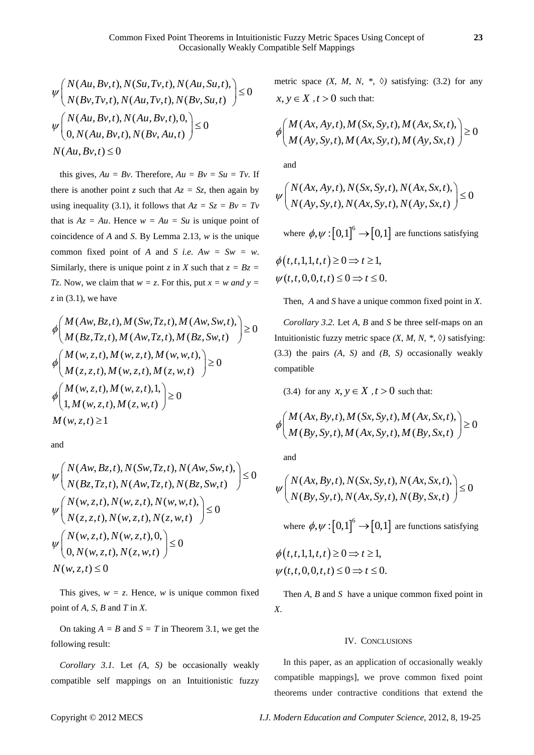$$
\psi\left(N(Au, Bv, t), N(Su, Tv, t), N(Au, Su, t), \right) \le 0
$$
  
\n
$$
\psi\left(N(Bv, Tv, t), N(Au, Tv, t), N(Bv, Su, t)\right) \le 0
$$
  
\n
$$
\psi\left(N(Au, Bv, t), N(Au, Bv, t), 0, \right) \le 0
$$
  
\n
$$
N(Au, Bv, t) \le 0
$$

this gives,  $Au = Bv$ . Therefore,  $Au = Bv = Su = Tv$ . If there is another point *z* such that  $Az = Sz$ , then again by using inequality (3.1), it follows that  $Az = Sz = Bv = Tv$ that is  $Az = Au$ . Hence  $w = Au = Su$  is unique point of coincidence of *A* and *S*. By Lemma 2.13, *w* is the unique common fixed point of *A* and *S i.e.*  $Aw = Sw = w$ . Similarly, there is unique point *z* in *X* such that  $z = Bz$ *Tz*. Now, we claim that  $w = z$ . For this, put  $x = w$  and  $y = z$ *z* in (3.1), we have

z in (3.1), we have  
\n
$$
\phi \bigg( \frac{M(Aw, Bz, t), M(Sw, Tz, t), M(Aw, Sw, t)}{M(Bz, Tz, t), M(Aw, Tz, t), M(Bz, Sw, t)} \bigg) \ge 0
$$
\n
$$
\phi \bigg( \frac{M(w, z, t), M(w, z, t), M(w, w, t)}{M(z, z, t), M(w, z, t), M(z, w, t)} \bigg) \ge 0
$$
\n
$$
\phi \bigg( \frac{M(w, z, t), M(w, z, t), M(z, w, t)}{1, M(w, z, t), M(z, w, t)} \bigg) \ge 0
$$
\n
$$
M(w, z, t) \ge 1
$$

and

and  
\n
$$
\mathcal{W}\left(N(Aw, Bz, t), N(Sw, Tz, t), N(Aw, Sw, t), \right) \le 0
$$
\n
$$
\mathcal{W}\left(N(Bz, Tz, t), N(Aw, Tz, t), N(Bz, Sw, t) \right) \le 0
$$
\n
$$
\mathcal{W}\left(N(w, z, t), N(w, z, t), N(w, w, t), \right) \le 0
$$
\n
$$
\mathcal{W}\left(N(w, z, t), N(w, z, t), N(z, w, t) \right) \le 0
$$
\n
$$
\mathcal{W}\left(N(w, z, t), N(w, z, t), 0, \right) \le 0
$$
\n
$$
N(w, z, t) \le 0
$$

This gives,  $w = z$ . Hence, *w* is unique common fixed point of *A, S, B* and *T* in *X*.

On taking  $A = B$  and  $S = T$  in Theorem 3.1, we get the following result:

*Corollary 3.1.* Let *(A, S)* be occasionally weakly compatible self mappings on an Intuitionistic fuzzy

metric space  $(X, M, N, *, \Diamond)$  satisfying: (3.2) for any  $x, y \in X$ ,  $t > 0$  such that:

$$
\phi \bigg( \frac{M(Ax, Ay, t), M(Sx, Sy, t), M(Ax, Sx, t)}{M(Ay, Sy, t), M(Ax, Sy, t), M(Ay, Sx, t)} \bigg) \ge 0
$$

and

and  
\n
$$
\psi\left(N(Ax, Ay, t), N(Sx, Sy, t), N(Ax, Sx, t), \right) \le 0
$$
\n
$$
N(Ay, Sy, t), N(Ax, Sy, t), N(Ay, Sx, t) \le 0
$$

where  $\phi, \psi : [0,1]^6 \rightarrow [0,1]$  are functions satisfying

$$
\phi(t, t, 1, 1, t, t) \ge 0 \Rightarrow t \ge 1,
$$
  

$$
\psi(t, t, 0, 0, t, t) \le 0 \Rightarrow t \le 0.
$$

Then, *A* and *S* have a unique common fixed point in *X*.

*Corollary 3.2.* Let *A, B* and *S* be three self-maps on an Intuitionistic fuzzy metric space *(X, M, N, \*, ◊)* satisfying: (3.3) the pairs *(A, S)* and *(B, S)* occasionally weakly compatible

(3.4) for any  $x, y \in X$ ,  $t > 0$  such that:

$$
\phi \bigg( \begin{array}{c} M(Ax, By, t), M(Sx, Sy, t), M(Ax, Sx, t), \\ M(By, Sy, t), M(Ax, Sy, t), M(By, Sx, t) \end{array} \bigg) \ge 0
$$

and

and  
\n
$$
\psi\left(N(Ax, By, t), N(Sx, Sy, t), N(Ax, Sx, t), N(By, Sy, t)\right) \leq 0
$$

where  $\phi, \psi : [0,1]^6 \rightarrow [0,1]$  are functions satisfying

$$
\phi(t, t, 1, 1, t, t) \ge 0 \Rightarrow t \ge 1,
$$
  

$$
\psi(t, t, 0, 0, t, t) \le 0 \Rightarrow t \le 0.
$$

Then *A, B* and *S* have a unique common fixed point in *X*.

#### IV. CONCLUSIONS

In this paper, as an application of occasionally weakly compatible mappings], we prove common fixed point theorems under contractive conditions that extend the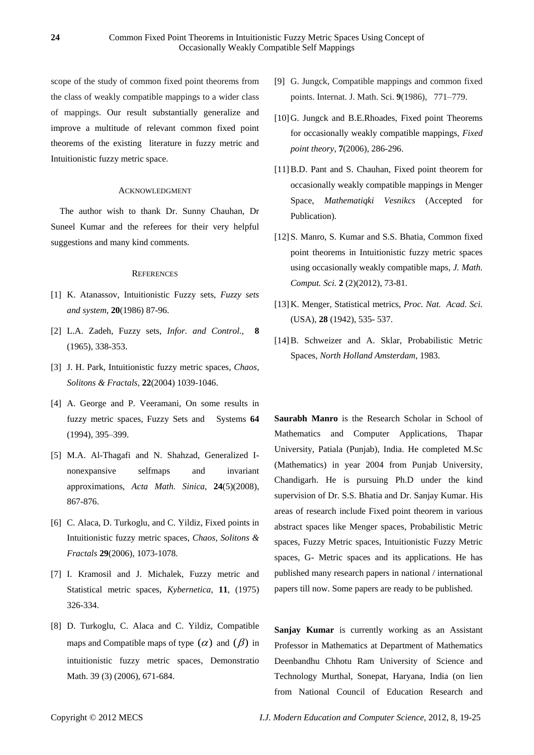scope of the study of common fixed point theorems from the class of weakly compatible mappings to a wider class of mappings. Our result substantially generalize and improve a multitude of relevant common fixed point theorems of the existing literature in fuzzy metric and Intuitionistic fuzzy metric space.

## ACKNOWLEDGMENT

The author wish to thank Dr. Sunny Chauhan, Dr Suneel Kumar and the referees for their very helpful suggestions and many kind comments.

### **REFERENCES**

- [1] K. Atanassov, Intuitionistic Fuzzy sets, *Fuzzy sets and system*, **20**(1986) 87-96.
- [2] L.A. Zadeh, Fuzzy sets, *Infor. and Control.,* **8** (1965), 338-353.
- [3] J. H. Park, Intuitionistic fuzzy metric spaces, *Chaos, Solitons & Fractals,* **22**(2004) 1039-1046.
- [4] A. George and P. Veeramani, On some results in fuzzy metric spaces, Fuzzy Sets and Systems **64** (1994), 395–399.
- [5] M.A. Al-Thagafi and N. Shahzad, Generalized Inonexpansive selfmaps and invariant approximations, *Acta Math. Sinica,* **24**(5)(2008), 867-876.
- [6] C. Alaca, D. Turkoglu, and C. Yildiz, Fixed points in Intuitionistic fuzzy metric spaces, *Chaos, Solitons & Fractals* **29**(2006), 1073-1078.
- [7] I. Kramosil and J. Michalek, Fuzzy metric and Statistical metric spaces, *Kybernetica,* **11**, (1975) 326-334.
- [8] D. Turkoglu, C. Alaca and C. Yildiz, Compatible maps and Compatible maps of type  $(\alpha)$  and  $(\beta)$  in intuitionistic fuzzy metric spaces, Demonstratio Math. 39 (3) (2006), 671-684.
- [9] G. Jungck, Compatible mappings and common fixed points. Internat. J. Math. Sci. **9**(1986), 771–779.
- [10]G. Jungck and B.E.Rhoades, Fixed point Theorems for occasionally weakly compatible mappings, *Fixed point theory*, **7**(2006), 286-296.
- [11]B.D. Pant and S. Chauhan, Fixed point theorem for occasionally weakly compatible mappings in Menger Space, *Mathematiqki Vesnikcs* (Accepted for Publication).
- [12]S. Manro, S. Kumar and S.S. Bhatia, Common fixed point theorems in Intuitionistic fuzzy metric spaces using occasionally weakly compatible maps, *J. Math. Comput. Sci.* **2** (2)(2012), 73-81.
- [13]K. Menger, Statistical metrics, *Proc. Nat. Acad. Sci.* (USA), **28** (1942), 535- 537.
- [14]B. Schweizer and A. Sklar, Probabilistic Metric Spaces, *North Holland Amsterdam,* 1983.

**Saurabh Manro** is the Research Scholar in School of Mathematics and Computer Applications, Thapar University, Patiala (Punjab), India. He completed M.Sc (Mathematics) in year 2004 from Punjab University, Chandigarh. He is pursuing Ph.D under the kind supervision of Dr. S.S. Bhatia and Dr. Sanjay Kumar. His areas of research include Fixed point theorem in various abstract spaces like Menger spaces, Probabilistic Metric spaces, Fuzzy Metric spaces, Intuitionistic Fuzzy Metric spaces, G- Metric spaces and its applications. He has published many research papers in national / international papers till now. Some papers are ready to be published.

**Sanjay Kumar** is currently working as an Assistant Professor in Mathematics at Department of Mathematics Deenbandhu Chhotu Ram University of Science and Technology Murthal, Sonepat, Haryana, India (on lien from National Council of Education Research and